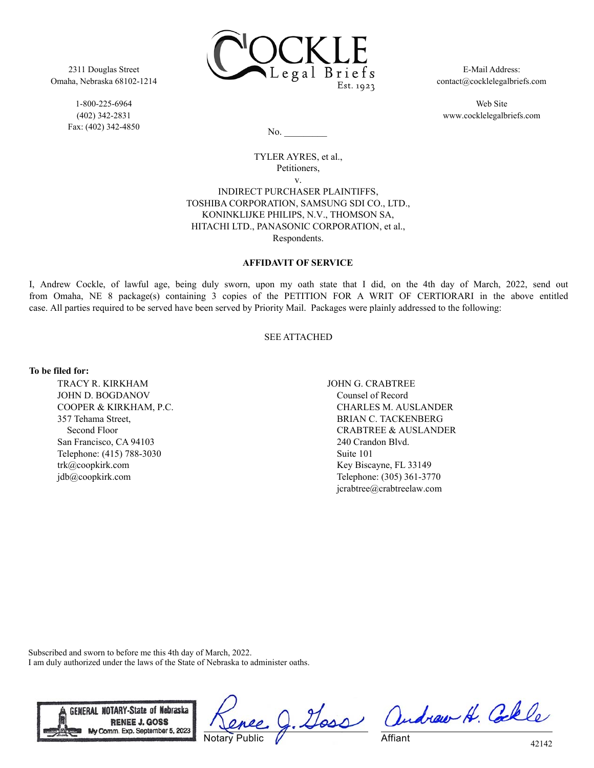

2311 Douglas Street Omaha, Nebraska 68102-1214

> 1-800-225-6964 (402) 342-2831 Fax: (402) 342-4850

E-Mail Address: contact@cocklelegalbriefs.com

Web Site www.cocklelegalbriefs.com

 $No.$ 

## TYLER AYRES, et al., Petitioners, v. INDIRECT PURCHASER PLAINTIFFS, TOSHIBA CORPORATION, SAMSUNG SDI CO., LTD., KONINKLIJKE PHILIPS, N.V., THOMSON SA, HITACHI LTD., PANASONIC CORPORATION, et al.,

# Respondents.

### **AFFIDAVIT OF SERVICE**

I, Andrew Cockle, of lawful age, being duly sworn, upon my oath state that I did, on the 4th day of March, 2022, send out from Omaha, NE 8 package(s) containing 3 copies of the PETITION FOR A WRIT OF CERTIORARI in the above entitled case. All parties required to be served have been served by Priority Mail. Packages were plainly addressed to the following:

### SEE ATTACHED

#### **To be filed for:**

TRACY R. KIRKHAM JOHN D. BOGDANOV COOPER & KIRKHAM, P.C. 357 Tehama Street, Second Floor San Francisco, CA 94103 Telephone: (415) 788-3030 trk@coopkirk.com jdb@coopkirk.com

JOHN G. CRABTREE Counsel of Record CHARLES M. AUSLANDER BRIAN C. TACKENBERG CRABTREE & AUSLANDER 240 Crandon Blvd. Suite 101 Key Biscayne, FL 33149 Telephone: (305) 361-3770 jcrabtree@crabtreelaw.com

Subscribed and sworn to before me this 4th day of March, 2022. I am duly authorized under the laws of the State of Nebraska to administer oaths.



Notary Public

g. Goss andrew H. Colle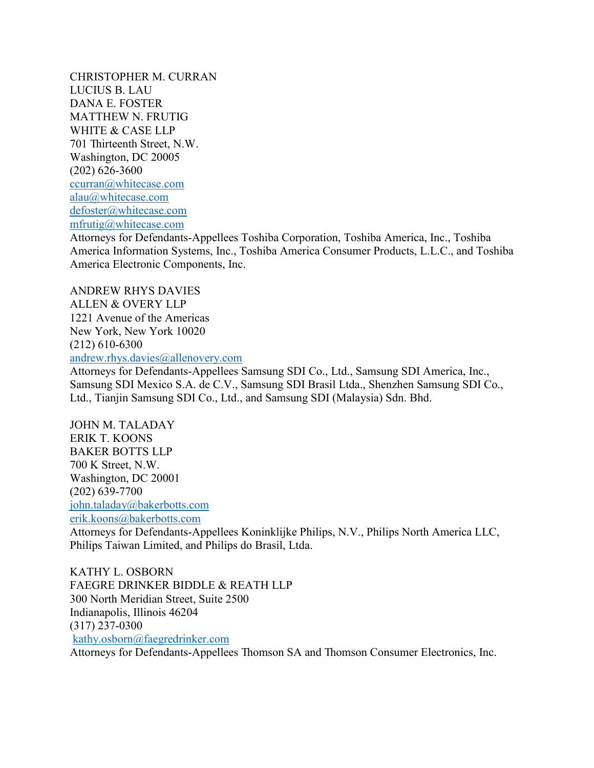CHRISTOPHER M. CURRAN LUCIUS B. LAU DANA E. FOSTER MATTHEW N. FRUTIG WHITE & CASE LLP 701 Thirteenth Street, N.W. Washington, DC 20005 (202) 626-3600 [ccurran@whitecase.com](mailto:ccurran@whitecase.com) [alau@whitecase.com](mailto:alau@whitecase.com) [defoster@whitecase.com](mailto:defoster@whitecase.com) [mfrutig@whitecase.com](mailto:mfrutig@whitecase.com)

Attorneys for Defendants-Appellees Toshiba Corporation, Toshiba America, Inc., Toshiba America Information Systems, Inc., Toshiba America Consumer Products, L.L.C., and Toshiba America Electronic Components, Inc.

ANDREW RHYS DAVIES ALLEN & OVERY LLP 1221 Avenue of the Americas New York, New York 10020 (212) 610-6300 [andrew.rhys.davies@allenovery.com](mailto:andrew.rhys.davies@allenovery.com)

Attorneys for Defendants-Appellees Samsung SDI Co., Ltd., Samsung SDI America, Inc., Samsung SDI Mexico S.A. de C.V., Samsung SDI Brasil Ltda., Shenzhen Samsung SDI Co., Ltd., Tianjin Samsung SDI Co., Ltd., and Samsung SDI (Malaysia) Sdn. Bhd.

JOHN M. TALADAY ERIK T. KOONS BAKER BOTTS LLP 700 K Street, N.W. Washington, DC 20001 (202) 639-7700 [john.taladay@bakerbotts.com](mailto:john.taladay@bakerbotts.com) [erik.koons@bakerbotts.com](mailto:erik.koons@bakerbotts.com)

Attorneys for Defendants-Appellees Koninklijke Philips, N.V., Philips North America LLC, Philips Taiwan Limited, and Philips do Brasil, Ltda.

KATHY L. OSBORN FAEGRE DRINKER BIDDLE & REATH LLP 300 North Meridian Street, Suite 2500 Indianapolis, Illinois 46204 (317) 237-0300 [kathy.osborn@faegredrinker.com](mailto:kathy.osborn@faegredrinker.com)

Attorneys for Defendants-Appellees Thomson SA and Thomson Consumer Electronics, Inc.